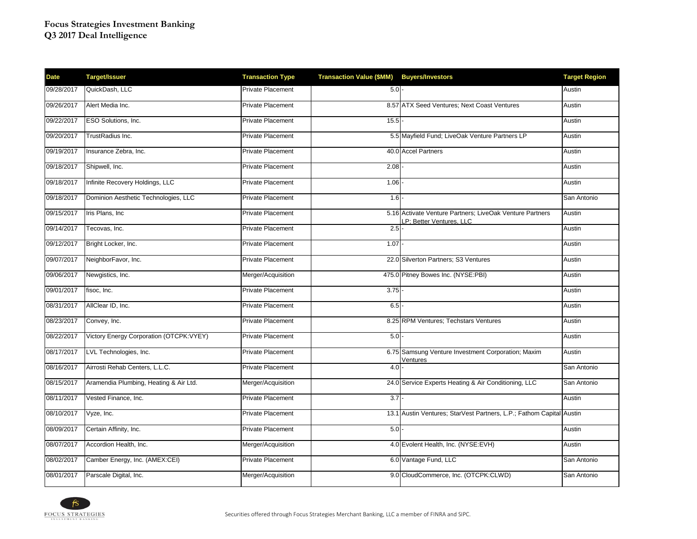| <b>Date</b> | <b>Target/Issuer</b>                    | <b>Transaction Type</b>  | Transaction Value (\$MM) Buyers/Investors |                                                                                     | <b>Target Region</b> |
|-------------|-----------------------------------------|--------------------------|-------------------------------------------|-------------------------------------------------------------------------------------|----------------------|
| 09/28/2017  | QuickDash, LLC                          | <b>Private Placement</b> | $5.0 -$                                   |                                                                                     | Austin               |
| 09/26/2017  | Alert Media Inc.                        | <b>Private Placement</b> |                                           | 8.57 ATX Seed Ventures; Next Coast Ventures                                         | Austin               |
| 09/22/2017  | ESO Solutions, Inc.                     | Private Placement        | 15.5                                      |                                                                                     | Austin               |
| 09/20/2017  | TrustRadius Inc.                        | Private Placement        |                                           | 5.5 Mayfield Fund; LiveOak Venture Partners LP                                      | Austin               |
| 09/19/2017  | Insurance Zebra, Inc.                   | Private Placement        |                                           | 40.0 Accel Partners                                                                 | Austin               |
| 09/18/2017  | Shipwell, Inc.                          | Private Placement        | 2.08                                      |                                                                                     | Austin               |
| 09/18/2017  | Infinite Recovery Holdings, LLC         | Private Placement        | 1.06                                      |                                                                                     | Austin               |
| 09/18/2017  | Dominion Aesthetic Technologies, LLC    | Private Placement        | $1.6 -$                                   |                                                                                     | San Antonio          |
| 09/15/2017  | Iris Plans, Inc.                        | <b>Private Placement</b> |                                           | 5.16 Activate Venture Partners; LiveOak Venture Partners<br>P; Better Ventures, LLC | Austin               |
| 09/14/2017  | Tecovas, Inc.                           | <b>Private Placement</b> | 2.5                                       |                                                                                     | Austin               |
| 09/12/2017  | Bright Locker, Inc.                     | Private Placement        | 1.07                                      |                                                                                     | Austin               |
| 09/07/2017  | NeighborFavor, Inc.                     | Private Placement        |                                           | 22.0 Silverton Partners; S3 Ventures                                                | Austin               |
| 09/06/2017  | Newgistics, Inc.                        | Merger/Acquisition       |                                           | 475.0 Pitney Bowes Inc. (NYSE:PBI)                                                  | Austin               |
| 09/01/2017  | fisoc, Inc.                             | <b>Private Placement</b> | 3.75                                      |                                                                                     | Austin               |
| 08/31/2017  | AllClear ID, Inc.                       | Private Placement        | 6.5                                       |                                                                                     | Austin               |
| 08/23/2017  | Convey, Inc.                            | <b>Private Placement</b> |                                           | 8.25 RPM Ventures; Techstars Ventures                                               | Austin               |
| 08/22/2017  | Victory Energy Corporation (OTCPK:VYEY) | Private Placement        | $5.0 -$                                   |                                                                                     | Austin               |
| 08/17/2017  | LVL Technologies, Inc.                  | Private Placement        |                                           | 6.75 Samsung Venture Investment Corporation; Maxim<br>Ventures                      | Austin               |
| 08/16/2017  | Airrosti Rehab Centers, L.L.C.          | <b>Private Placement</b> | 4.0                                       |                                                                                     | San Antonio          |
| 08/15/2017  | Aramendia Plumbing, Heating & Air Ltd.  | Merger/Acquisition       |                                           | 24.0 Service Experts Heating & Air Conditioning, LLC                                | San Antonio          |
| 08/11/2017  | Vested Finance, Inc.                    | Private Placement        | $\overline{3.7}$                          |                                                                                     | Austin               |
| 08/10/2017  | Vyze, Inc.                              | Private Placement        |                                           | 13.1 Austin Ventures; StarVest Partners, L.P.; Fathom Capital Austin                |                      |
| 08/09/2017  | Certain Affinity, Inc.                  | Private Placement        | 5.0                                       |                                                                                     | Austin               |
| 08/07/2017  | Accordion Health, Inc.                  | Merger/Acquisition       |                                           | 4.0 Evolent Health, Inc. (NYSE:EVH)                                                 | Austin               |
| 08/02/2017  | Camber Energy, Inc. (AMEX:CEI)          | <b>Private Placement</b> |                                           | 6.0 Vantage Fund, LLC                                                               | San Antonio          |
| 08/01/2017  | Parscale Digital, Inc.                  | Merger/Acquisition       |                                           | 9.0 CloudCommerce, Inc. (OTCPK:CLWD)                                                | San Antonio          |